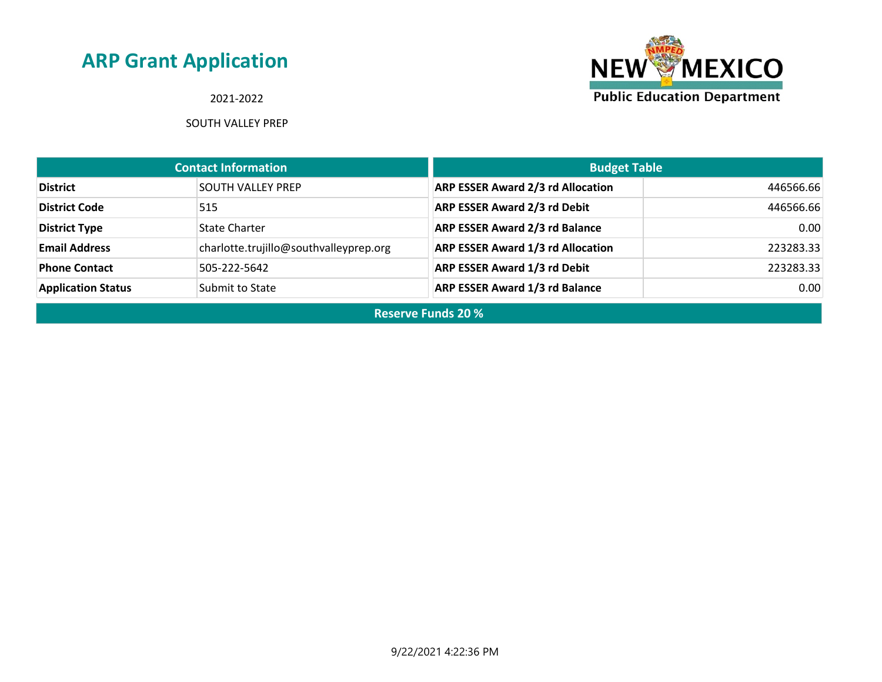2021-2022

SOUTH VALLEY PREP



| <b>Contact Information</b> |                                        | <b>Budget Table</b>                      |           |
|----------------------------|----------------------------------------|------------------------------------------|-----------|
| <b>District</b>            | <b>SOUTH VALLEY PREP</b>               | <b>ARP ESSER Award 2/3 rd Allocation</b> | 446566.66 |
| <b>District Code</b>       | 515                                    | <b>ARP ESSER Award 2/3 rd Debit</b>      | 446566.66 |
| <b>District Type</b>       | <b>State Charter</b>                   | <b>ARP ESSER Award 2/3 rd Balance</b>    | 0.00      |
| <b>Email Address</b>       | charlotte.trujillo@southvalleyprep.org | <b>ARP ESSER Award 1/3 rd Allocation</b> | 223283.33 |
| <b>Phone Contact</b>       | 505-222-5642                           | <b>ARP ESSER Award 1/3 rd Debit</b>      | 223283.33 |
| <b>Application Status</b>  | Submit to State                        | <b>ARP ESSER Award 1/3 rd Balance</b>    | 0.00      |

**Reserve Funds 20 %**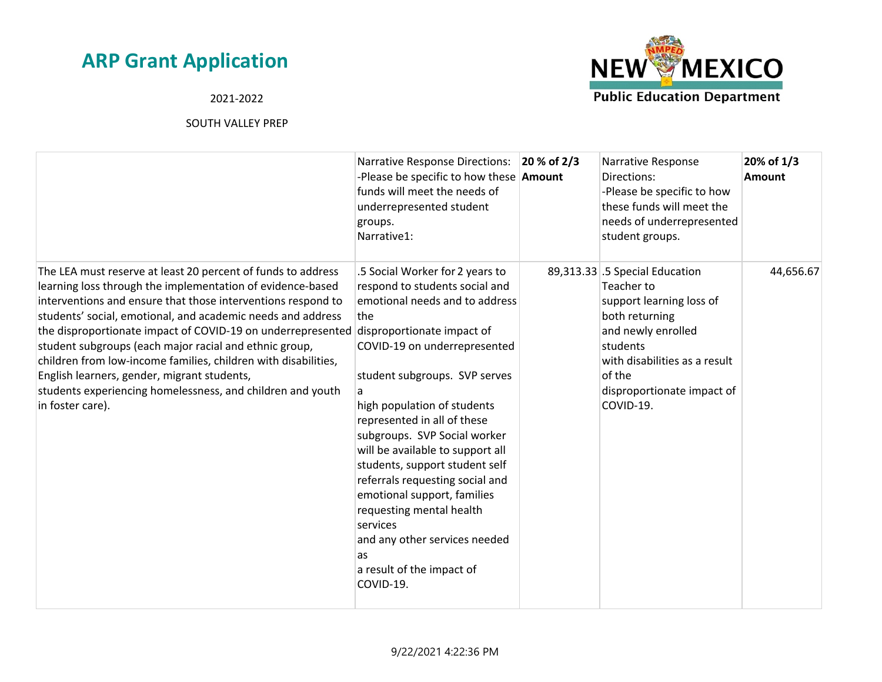### 2021-2022



|                                                                                                                                                                                                                                                                                                                                                                                                                                                                                                                                                                                       | <b>Narrative Response Directions:</b><br>-Please be specific to how these <b>Amount</b><br>funds will meet the needs of<br>underrepresented student<br>groups.<br>Narrative1:                                                                                                                                                                                                                                                                                                                                                                                                 | 20 % of 2/3 | Narrative Response<br>Directions:<br>-Please be specific to how<br>these funds will meet the<br>needs of underrepresented<br>student groups.                                                                       | 20% of 1/3<br>Amount |
|---------------------------------------------------------------------------------------------------------------------------------------------------------------------------------------------------------------------------------------------------------------------------------------------------------------------------------------------------------------------------------------------------------------------------------------------------------------------------------------------------------------------------------------------------------------------------------------|-------------------------------------------------------------------------------------------------------------------------------------------------------------------------------------------------------------------------------------------------------------------------------------------------------------------------------------------------------------------------------------------------------------------------------------------------------------------------------------------------------------------------------------------------------------------------------|-------------|--------------------------------------------------------------------------------------------------------------------------------------------------------------------------------------------------------------------|----------------------|
| The LEA must reserve at least 20 percent of funds to address<br>learning loss through the implementation of evidence-based<br>interventions and ensure that those interventions respond to<br>students' social, emotional, and academic needs and address<br>the disproportionate impact of COVID-19 on underrepresented<br>student subgroups (each major racial and ethnic group,<br>children from low-income families, children with disabilities,<br>English learners, gender, migrant students,<br>students experiencing homelessness, and children and youth<br>in foster care). | .5 Social Worker for 2 years to<br>respond to students social and<br>emotional needs and to address<br>the<br>disproportionate impact of<br>COVID-19 on underrepresented<br>student subgroups. SVP serves<br>a<br>high population of students<br>represented in all of these<br>subgroups. SVP Social worker<br>will be available to support all<br>students, support student self<br>referrals requesting social and<br>emotional support, families<br>requesting mental health<br>services<br>and any other services needed<br>as<br>a result of the impact of<br>COVID-19. |             | 89,313.33 .5 Special Education<br>Teacher to<br>support learning loss of<br>both returning<br>and newly enrolled<br>students<br>with disabilities as a result<br>of the<br>disproportionate impact of<br>COVID-19. | 44,656.67            |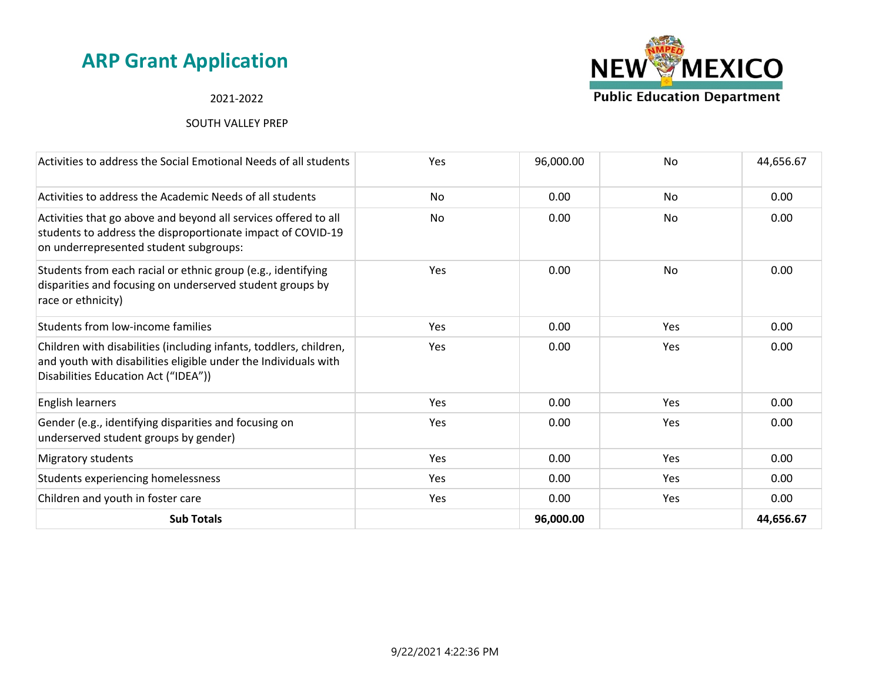#### 2021-2022



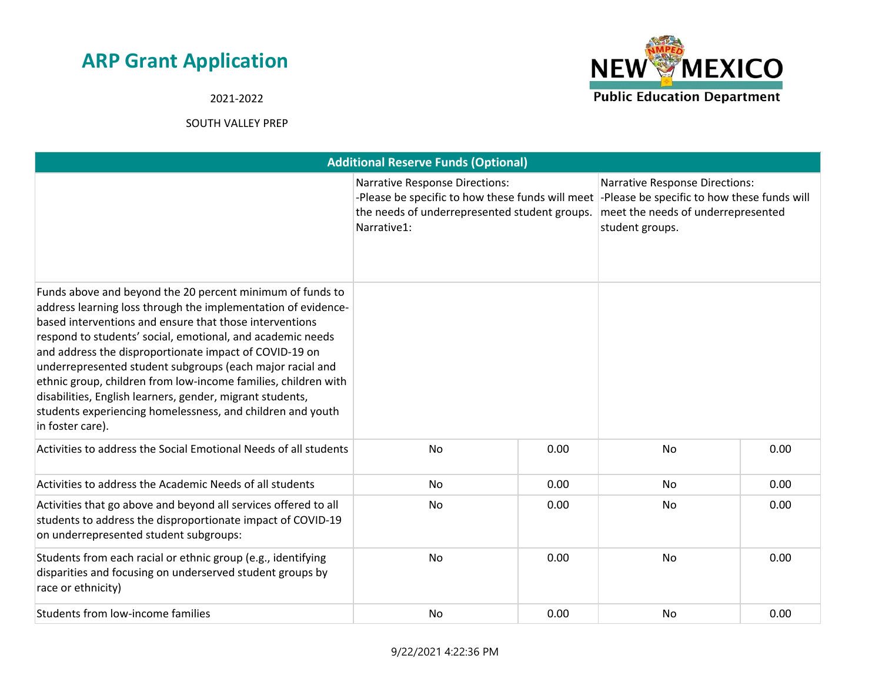**NEW MEXICO Public Education Department** 

2021-2022

| <b>Additional Reserve Funds (Optional)</b>                                                                                                                                                                                                                                                                                                                                                                                                                                                                                                                                                  |                                                                                                                                                           |      |                                                                                                                                               |      |  |
|---------------------------------------------------------------------------------------------------------------------------------------------------------------------------------------------------------------------------------------------------------------------------------------------------------------------------------------------------------------------------------------------------------------------------------------------------------------------------------------------------------------------------------------------------------------------------------------------|-----------------------------------------------------------------------------------------------------------------------------------------------------------|------|-----------------------------------------------------------------------------------------------------------------------------------------------|------|--|
|                                                                                                                                                                                                                                                                                                                                                                                                                                                                                                                                                                                             | <b>Narrative Response Directions:</b><br>-Please be specific to how these funds will meet<br>the needs of underrepresented student groups.<br>Narrative1: |      | <b>Narrative Response Directions:</b><br>-Please be specific to how these funds will<br>meet the needs of underrepresented<br>student groups. |      |  |
| Funds above and beyond the 20 percent minimum of funds to<br>address learning loss through the implementation of evidence-<br>based interventions and ensure that those interventions<br>respond to students' social, emotional, and academic needs<br>and address the disproportionate impact of COVID-19 on<br>underrepresented student subgroups (each major racial and<br>ethnic group, children from low-income families, children with<br>disabilities, English learners, gender, migrant students,<br>students experiencing homelessness, and children and youth<br>in foster care). |                                                                                                                                                           |      |                                                                                                                                               |      |  |
| Activities to address the Social Emotional Needs of all students                                                                                                                                                                                                                                                                                                                                                                                                                                                                                                                            | No                                                                                                                                                        | 0.00 | <b>No</b>                                                                                                                                     | 0.00 |  |
| Activities to address the Academic Needs of all students                                                                                                                                                                                                                                                                                                                                                                                                                                                                                                                                    | No                                                                                                                                                        | 0.00 | No                                                                                                                                            | 0.00 |  |
| Activities that go above and beyond all services offered to all<br>students to address the disproportionate impact of COVID-19<br>on underrepresented student subgroups:                                                                                                                                                                                                                                                                                                                                                                                                                    | No                                                                                                                                                        | 0.00 | No                                                                                                                                            | 0.00 |  |
| Students from each racial or ethnic group (e.g., identifying<br>disparities and focusing on underserved student groups by<br>race or ethnicity)                                                                                                                                                                                                                                                                                                                                                                                                                                             | No                                                                                                                                                        | 0.00 | No                                                                                                                                            | 0.00 |  |
| Students from low-income families                                                                                                                                                                                                                                                                                                                                                                                                                                                                                                                                                           | <b>No</b>                                                                                                                                                 | 0.00 | <b>No</b>                                                                                                                                     | 0.00 |  |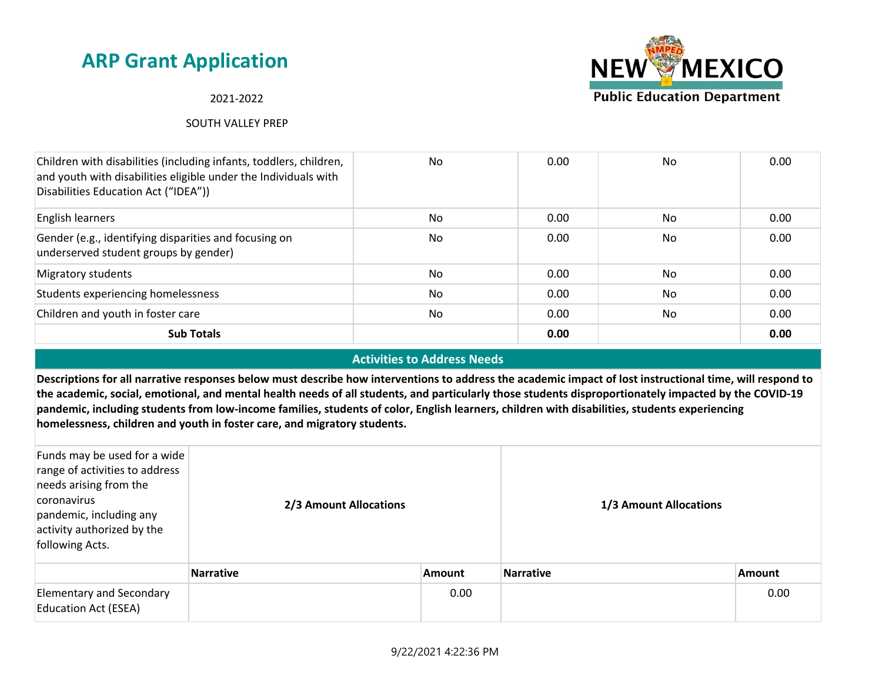#### 2021-2022

#### SOUTH VALLEY PREP



#### **Activities to Address Needs**

**Descriptions for all narrative responses below must describe how interventions to address the academic impact of lost instructional time, will respond to the academic, social, emotional, and mental health needs of all students, and particularly those students disproportionately impacted by the COVID-19 pandemic, including students from low-income families, students of color, English learners, children with disabilities, students experiencing homelessness, children and youth in foster care, and migratory students.**

| Funds may be used for a wide<br>range of activities to address<br>needs arising from the<br>coronavirus<br>pandemic, including any<br>activity authorized by the<br>following Acts. | 2/3 Amount Allocations |               | 1/3 Amount Allocations |               |  |
|-------------------------------------------------------------------------------------------------------------------------------------------------------------------------------------|------------------------|---------------|------------------------|---------------|--|
|                                                                                                                                                                                     | Narrative              | <b>Amount</b> | <b>Narrative</b>       | <b>Amount</b> |  |
| <b>Elementary and Secondary</b><br><b>Education Act (ESEA)</b>                                                                                                                      |                        | 0.00          |                        | 0.00          |  |

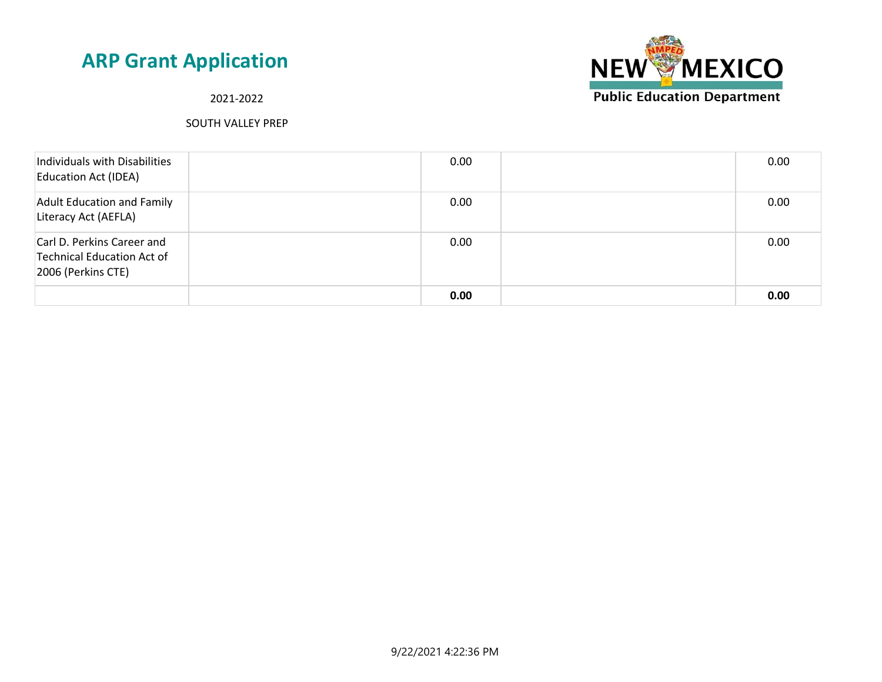

2021-2022

| Individuals with Disabilities<br><b>Education Act (IDEA)</b>                   | 0.00 | 0.00 |
|--------------------------------------------------------------------------------|------|------|
| <b>Adult Education and Family</b><br>Literacy Act (AEFLA)                      | 0.00 | 0.00 |
| Carl D. Perkins Career and<br>Technical Education Act of<br>2006 (Perkins CTE) | 0.00 | 0.00 |
|                                                                                | 0.00 | 0.00 |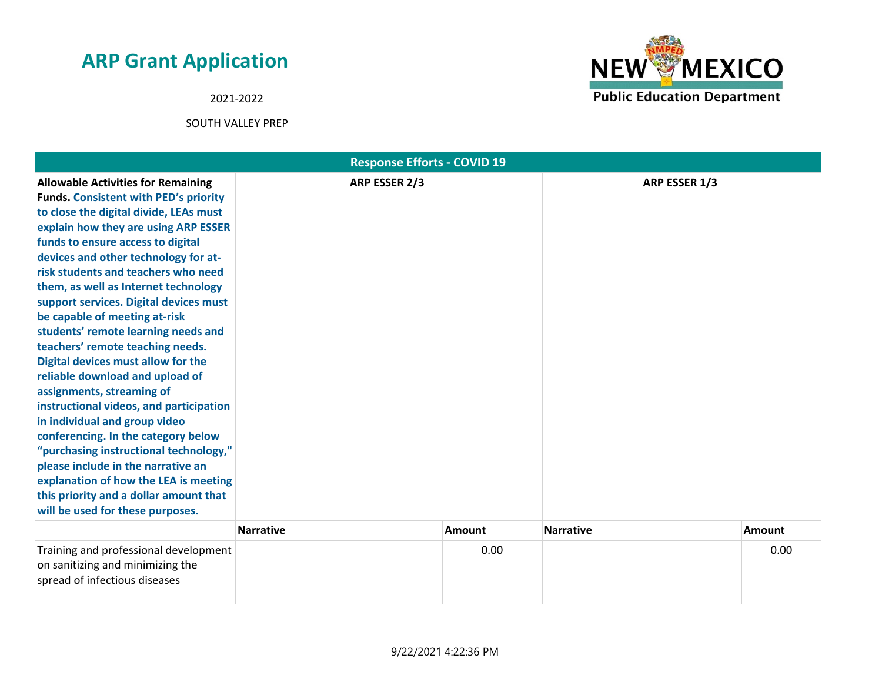2021-2022



|                                                                                                                                                                                                                                                                                                                                                                                                                                                                                                                                                                                                                                                                                                                                                                                                                                                                                                                               | <b>Response Efforts - COVID 19</b> |               |                  |               |
|-------------------------------------------------------------------------------------------------------------------------------------------------------------------------------------------------------------------------------------------------------------------------------------------------------------------------------------------------------------------------------------------------------------------------------------------------------------------------------------------------------------------------------------------------------------------------------------------------------------------------------------------------------------------------------------------------------------------------------------------------------------------------------------------------------------------------------------------------------------------------------------------------------------------------------|------------------------------------|---------------|------------------|---------------|
| <b>Allowable Activities for Remaining</b><br><b>Funds. Consistent with PED's priority</b><br>to close the digital divide, LEAs must<br>explain how they are using ARP ESSER<br>funds to ensure access to digital<br>devices and other technology for at-<br>risk students and teachers who need<br>them, as well as Internet technology<br>support services. Digital devices must<br>be capable of meeting at-risk<br>students' remote learning needs and<br>teachers' remote teaching needs.<br>Digital devices must allow for the<br>reliable download and upload of<br>assignments, streaming of<br>instructional videos, and participation<br>in individual and group video<br>conferencing. In the category below<br>"purchasing instructional technology,"<br>please include in the narrative an<br>explanation of how the LEA is meeting<br>this priority and a dollar amount that<br>will be used for these purposes. | ARP ESSER 2/3                      |               | ARP ESSER 1/3    |               |
|                                                                                                                                                                                                                                                                                                                                                                                                                                                                                                                                                                                                                                                                                                                                                                                                                                                                                                                               | <b>Narrative</b>                   | <b>Amount</b> | <b>Narrative</b> | <b>Amount</b> |
| Training and professional development<br>on sanitizing and minimizing the<br>spread of infectious diseases                                                                                                                                                                                                                                                                                                                                                                                                                                                                                                                                                                                                                                                                                                                                                                                                                    |                                    | 0.00          |                  | 0.00          |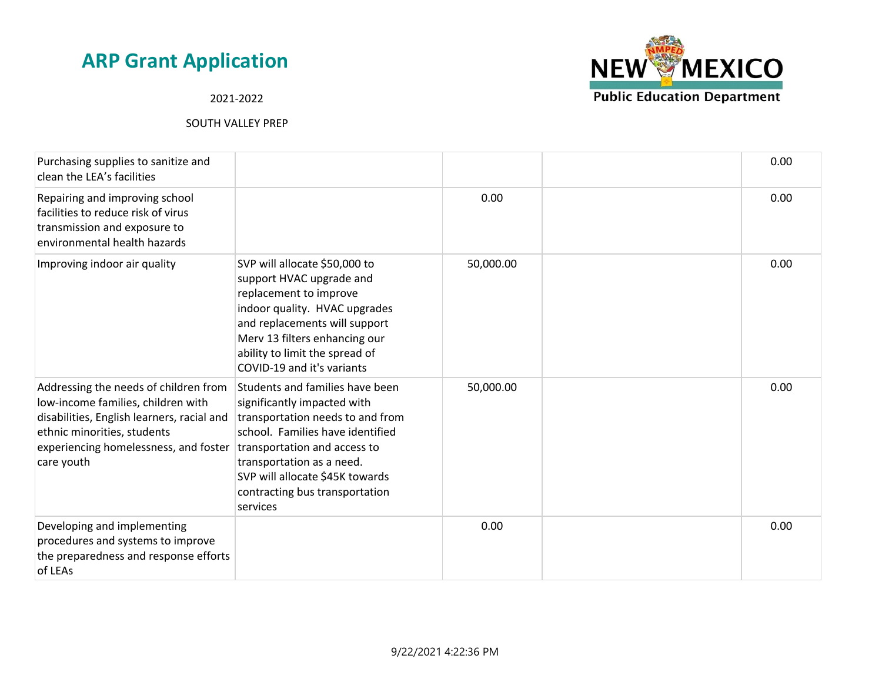**NEW MEXICO Public Education Department** 

### 2021-2022

| Purchasing supplies to sanitize and<br>clean the LEA's facilities                                                                                                                                                                              |                                                                                                                                                                                                                                                        |           | 0.00 |
|------------------------------------------------------------------------------------------------------------------------------------------------------------------------------------------------------------------------------------------------|--------------------------------------------------------------------------------------------------------------------------------------------------------------------------------------------------------------------------------------------------------|-----------|------|
| Repairing and improving school<br>facilities to reduce risk of virus<br>transmission and exposure to<br>environmental health hazards                                                                                                           |                                                                                                                                                                                                                                                        | 0.00      | 0.00 |
| Improving indoor air quality                                                                                                                                                                                                                   | SVP will allocate \$50,000 to<br>support HVAC upgrade and<br>replacement to improve<br>indoor quality. HVAC upgrades<br>and replacements will support<br>Merv 13 filters enhancing our<br>ability to limit the spread of<br>COVID-19 and it's variants | 50,000.00 | 0.00 |
| Addressing the needs of children from<br>low-income families, children with<br>disabilities, English learners, racial and<br>ethnic minorities, students<br>experiencing homelessness, and foster   transportation and access to<br>care youth | Students and families have been<br>significantly impacted with<br>transportation needs to and from<br>school. Families have identified<br>transportation as a need.<br>SVP will allocate \$45K towards<br>contracting bus transportation<br>services   | 50,000.00 | 0.00 |
| Developing and implementing<br>procedures and systems to improve<br>the preparedness and response efforts<br>of LEAs                                                                                                                           |                                                                                                                                                                                                                                                        | 0.00      | 0.00 |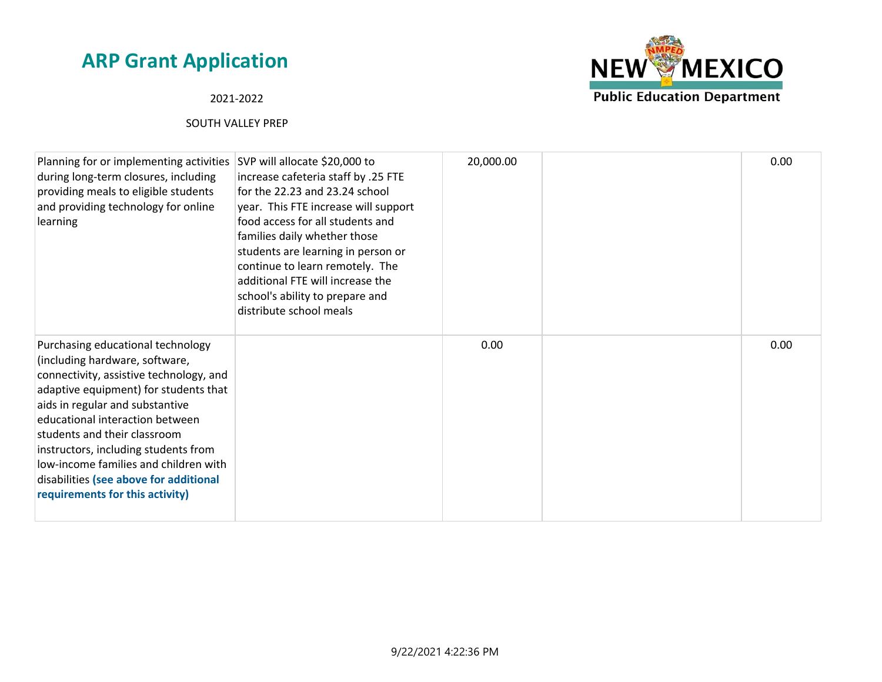### 2021-2022



| Planning for or implementing activities<br>during long-term closures, including<br>providing meals to eligible students<br>and providing technology for online<br>learning                                                                                                                                                                                                                                                  | SVP will allocate \$20,000 to<br>increase cafeteria staff by .25 FTE<br>for the 22.23 and 23.24 school<br>year. This FTE increase will support<br>food access for all students and<br>families daily whether those<br>students are learning in person or<br>continue to learn remotely. The<br>additional FTE will increase the<br>school's ability to prepare and<br>distribute school meals | 20,000.00 | 0.00 |
|-----------------------------------------------------------------------------------------------------------------------------------------------------------------------------------------------------------------------------------------------------------------------------------------------------------------------------------------------------------------------------------------------------------------------------|-----------------------------------------------------------------------------------------------------------------------------------------------------------------------------------------------------------------------------------------------------------------------------------------------------------------------------------------------------------------------------------------------|-----------|------|
| Purchasing educational technology<br>(including hardware, software,<br>connectivity, assistive technology, and<br>adaptive equipment) for students that<br>aids in regular and substantive<br>educational interaction between<br>students and their classroom<br>instructors, including students from<br>low-income families and children with<br>disabilities (see above for additional<br>requirements for this activity) |                                                                                                                                                                                                                                                                                                                                                                                               | 0.00      | 0.00 |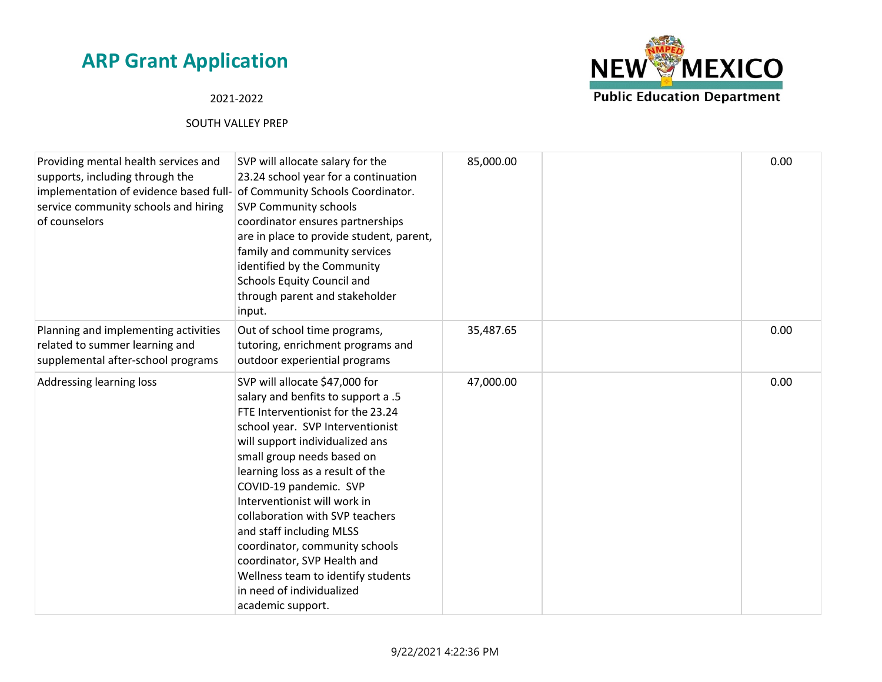### 2021-2022



| Providing mental health services and<br>supports, including through the<br>implementation of evidence based full- of Community Schools Coordinator.<br>service community schools and hiring<br>of counselors | SVP will allocate salary for the<br>23.24 school year for a continuation<br><b>SVP Community schools</b><br>coordinator ensures partnerships<br>are in place to provide student, parent,<br>family and community services<br>identified by the Community<br>Schools Equity Council and<br>through parent and stakeholder<br>input.                                                                                                                                                                                                   | 85,000.00 | 0.00 |
|--------------------------------------------------------------------------------------------------------------------------------------------------------------------------------------------------------------|--------------------------------------------------------------------------------------------------------------------------------------------------------------------------------------------------------------------------------------------------------------------------------------------------------------------------------------------------------------------------------------------------------------------------------------------------------------------------------------------------------------------------------------|-----------|------|
| Planning and implementing activities<br>related to summer learning and<br>supplemental after-school programs                                                                                                 | Out of school time programs,<br>tutoring, enrichment programs and<br>outdoor experiential programs                                                                                                                                                                                                                                                                                                                                                                                                                                   | 35,487.65 | 0.00 |
| Addressing learning loss                                                                                                                                                                                     | SVP will allocate \$47,000 for<br>salary and benfits to support a .5<br>FTE Interventionist for the 23.24<br>school year. SVP Interventionist<br>will support individualized ans<br>small group needs based on<br>learning loss as a result of the<br>COVID-19 pandemic. SVP<br>Interventionist will work in<br>collaboration with SVP teachers<br>and staff including MLSS<br>coordinator, community schools<br>coordinator, SVP Health and<br>Wellness team to identify students<br>in need of individualized<br>academic support. | 47,000.00 | 0.00 |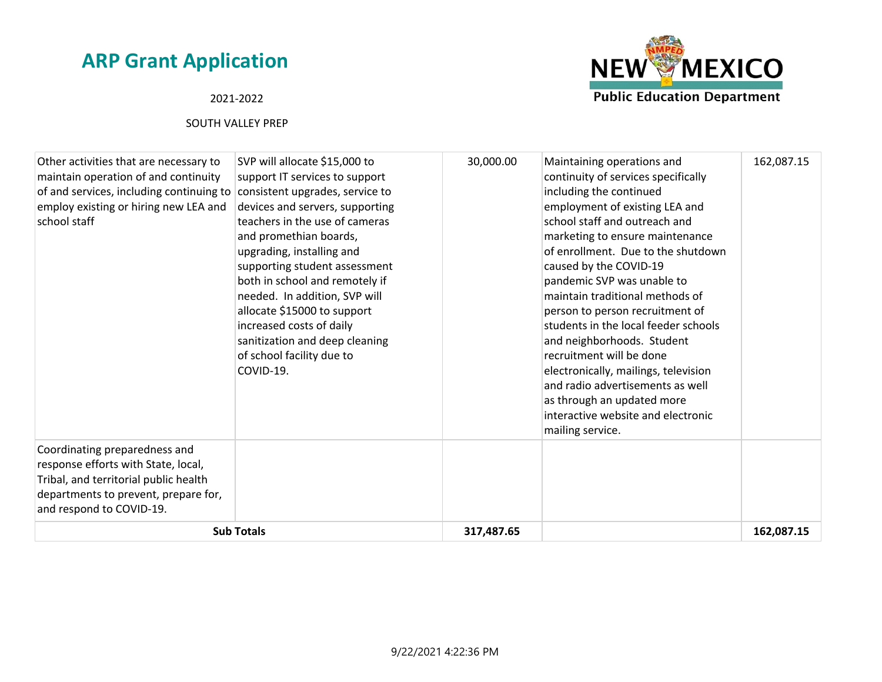#### 2021-2022



| Other activities that are necessary to<br>maintain operation of and continuity<br>of and services, including continuing to consistent upgrades, service to<br>employ existing or hiring new LEA and<br>school staff | SVP will allocate \$15,000 to<br>support IT services to support<br>devices and servers, supporting<br>teachers in the use of cameras<br>and promethian boards,<br>upgrading, installing and<br>supporting student assessment<br>both in school and remotely if<br>needed. In addition, SVP will<br>allocate \$15000 to support<br>increased costs of daily<br>sanitization and deep cleaning<br>of school facility due to<br>COVID-19. | 30,000.00  | Maintaining operations and<br>continuity of services specifically<br>including the continued<br>employment of existing LEA and<br>school staff and outreach and<br>marketing to ensure maintenance<br>of enrollment. Due to the shutdown<br>caused by the COVID-19<br>pandemic SVP was unable to<br>maintain traditional methods of<br>person to person recruitment of<br>students in the local feeder schools<br>and neighborhoods. Student<br>recruitment will be done<br>electronically, mailings, television<br>and radio advertisements as well<br>as through an updated more<br>interactive website and electronic<br>mailing service. | 162,087.15 |
|---------------------------------------------------------------------------------------------------------------------------------------------------------------------------------------------------------------------|----------------------------------------------------------------------------------------------------------------------------------------------------------------------------------------------------------------------------------------------------------------------------------------------------------------------------------------------------------------------------------------------------------------------------------------|------------|----------------------------------------------------------------------------------------------------------------------------------------------------------------------------------------------------------------------------------------------------------------------------------------------------------------------------------------------------------------------------------------------------------------------------------------------------------------------------------------------------------------------------------------------------------------------------------------------------------------------------------------------|------------|
| Coordinating preparedness and<br>response efforts with State, local,<br>Tribal, and territorial public health<br>departments to prevent, prepare for,<br>and respond to COVID-19.                                   |                                                                                                                                                                                                                                                                                                                                                                                                                                        |            |                                                                                                                                                                                                                                                                                                                                                                                                                                                                                                                                                                                                                                              |            |
|                                                                                                                                                                                                                     | <b>Sub Totals</b>                                                                                                                                                                                                                                                                                                                                                                                                                      | 317,487.65 |                                                                                                                                                                                                                                                                                                                                                                                                                                                                                                                                                                                                                                              | 162,087.15 |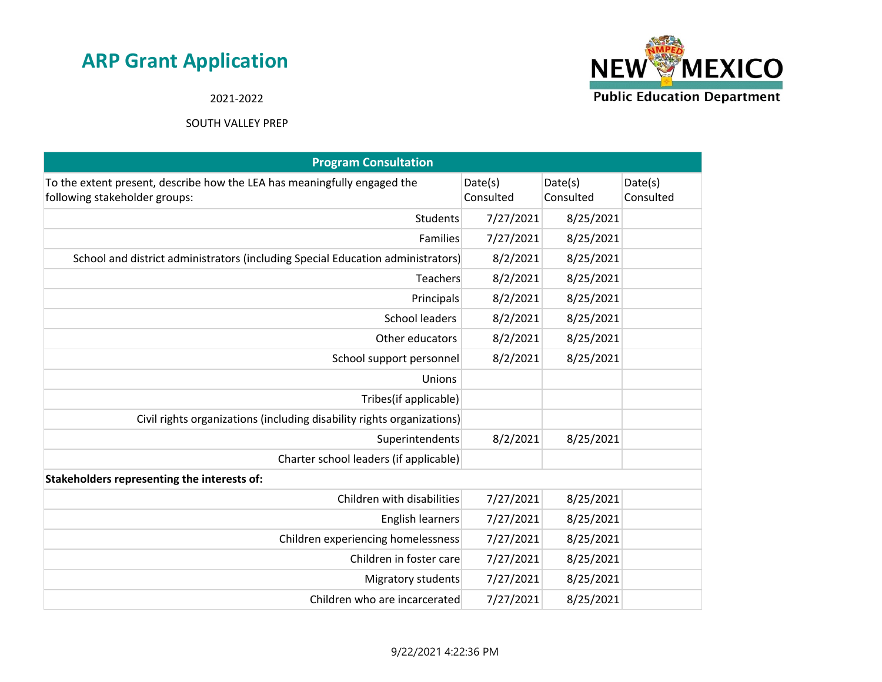

2021-2022

| <b>Program Consultation</b>                                                                               |                      |                      |                      |
|-----------------------------------------------------------------------------------------------------------|----------------------|----------------------|----------------------|
| To the extent present, describe how the LEA has meaningfully engaged the<br>following stakeholder groups: | Date(s)<br>Consulted | Date(s)<br>Consulted | Date(s)<br>Consulted |
| Students                                                                                                  | 7/27/2021            | 8/25/2021            |                      |
| Families                                                                                                  | 7/27/2021            | 8/25/2021            |                      |
| School and district administrators (including Special Education administrators)                           | 8/2/2021             | 8/25/2021            |                      |
| Teachers                                                                                                  | 8/2/2021             | 8/25/2021            |                      |
| Principals                                                                                                | 8/2/2021             | 8/25/2021            |                      |
| <b>School leaders</b>                                                                                     | 8/2/2021             | 8/25/2021            |                      |
| Other educators                                                                                           | 8/2/2021             | 8/25/2021            |                      |
| School support personnel                                                                                  | 8/2/2021             | 8/25/2021            |                      |
| Unions                                                                                                    |                      |                      |                      |
| Tribes(if applicable)                                                                                     |                      |                      |                      |
| Civil rights organizations (including disability rights organizations)                                    |                      |                      |                      |
| Superintendents                                                                                           | 8/2/2021             | 8/25/2021            |                      |
| Charter school leaders (if applicable)                                                                    |                      |                      |                      |
| Stakeholders representing the interests of:                                                               |                      |                      |                      |
| Children with disabilities                                                                                | 7/27/2021            | 8/25/2021            |                      |
| <b>English learners</b>                                                                                   | 7/27/2021            | 8/25/2021            |                      |
| Children experiencing homelessness                                                                        | 7/27/2021            | 8/25/2021            |                      |
| Children in foster care                                                                                   | 7/27/2021            | 8/25/2021            |                      |
| <b>Migratory students</b>                                                                                 | 7/27/2021            | 8/25/2021            |                      |
| Children who are incarcerated                                                                             | 7/27/2021            | 8/25/2021            |                      |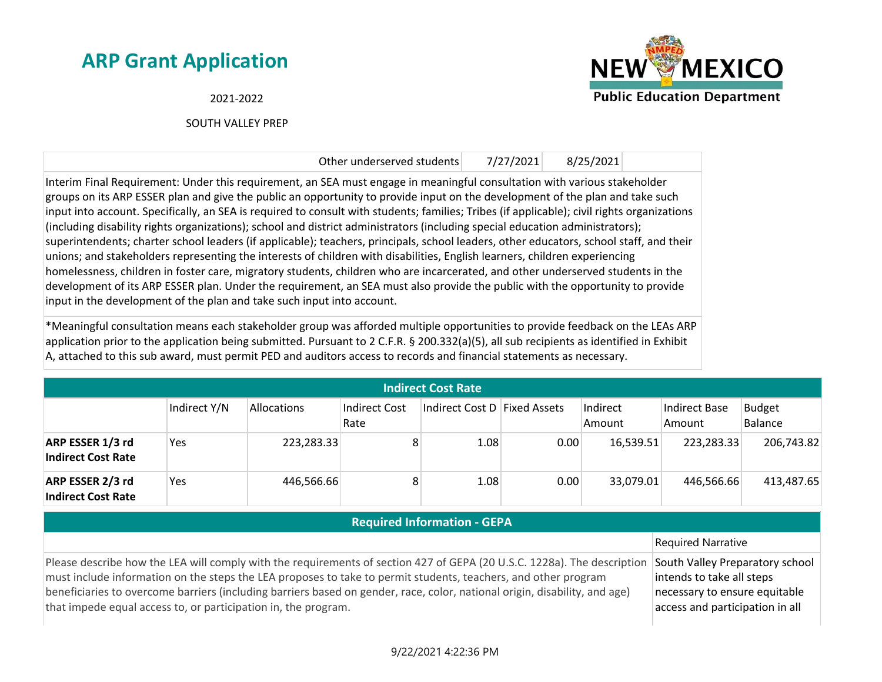2021-2022

SOUTH VALLEY PREP



Other underserved students 7/27/2021 8/25/2021 Interim Final Requirement: Under this requirement, an SEA must engage in meaningful consultation with various stakeholder groups on its ARP ESSER plan and give the public an opportunity to provide input on the development of the plan and take such input into account. Specifically, an SEA is required to consult with students; families; Tribes (if applicable); civil rights organizations (including disability rights organizations); school and district administrators (including special education administrators); superintendents; charter school leaders (if applicable); teachers, principals, school leaders, other educators, school staff, and their unions; and stakeholders representing the interests of children with disabilities, English learners, children experiencing homelessness, children in foster care, migratory students, children who are incarcerated, and other underserved students in the development of its ARP ESSER plan. Under the requirement, an SEA must also provide the public with the opportunity to provide input in the development of the plan and take such input into account.

\*Meaningful consultation means each stakeholder group was afforded multiple opportunities to provide feedback on the LEAs ARP application prior to the application being submitted. Pursuant to 2 C.F.R. § 200.332(a)(5), all sub recipients as identified in Exhibit A, attached to this sub award, must permit PED and auditors access to records and financial statements as necessary.

| <b>Indirect Cost Rate</b>                     |              |             |                       |                               |      |                    |                         |                          |
|-----------------------------------------------|--------------|-------------|-----------------------|-------------------------------|------|--------------------|-------------------------|--------------------------|
|                                               | Indirect Y/N | Allocations | Indirect Cost<br>Rate | ∣Indirect Cost D∣Fixed Assets |      | Indirect<br>Amount | Indirect Base<br>Amount | <b>Budget</b><br>Balance |
| ARP ESSER 1/3 rd<br><b>Indirect Cost Rate</b> | Yes          | 223,283.33  | 8                     | 1.08                          | 0.00 | 16,539.51          | 223,283.33              | 206,743.82               |
| ARP ESSER 2/3 rd<br><b>Indirect Cost Rate</b> | Yes          | 446,566.66  | 8                     | 1.08                          | 0.00 | 33,079.01          | 446,566.66              | 413,487.65               |

| <b>Required Information - GEPA</b>                                                                                                                                                                                                                                                                                                                                                                                                        |                                                                                                                                  |
|-------------------------------------------------------------------------------------------------------------------------------------------------------------------------------------------------------------------------------------------------------------------------------------------------------------------------------------------------------------------------------------------------------------------------------------------|----------------------------------------------------------------------------------------------------------------------------------|
|                                                                                                                                                                                                                                                                                                                                                                                                                                           | Required Narrative                                                                                                               |
| Please describe how the LEA will comply with the requirements of section 427 of GEPA (20 U.S.C. 1228a). The description<br>must include information on the steps the LEA proposes to take to permit students, teachers, and other program<br>beneficiaries to overcome barriers (including barriers based on gender, race, color, national origin, disability, and age)<br>that impede equal access to, or participation in, the program. | South Valley Preparatory school<br>intends to take all steps<br>necessary to ensure equitable<br>access and participation in all |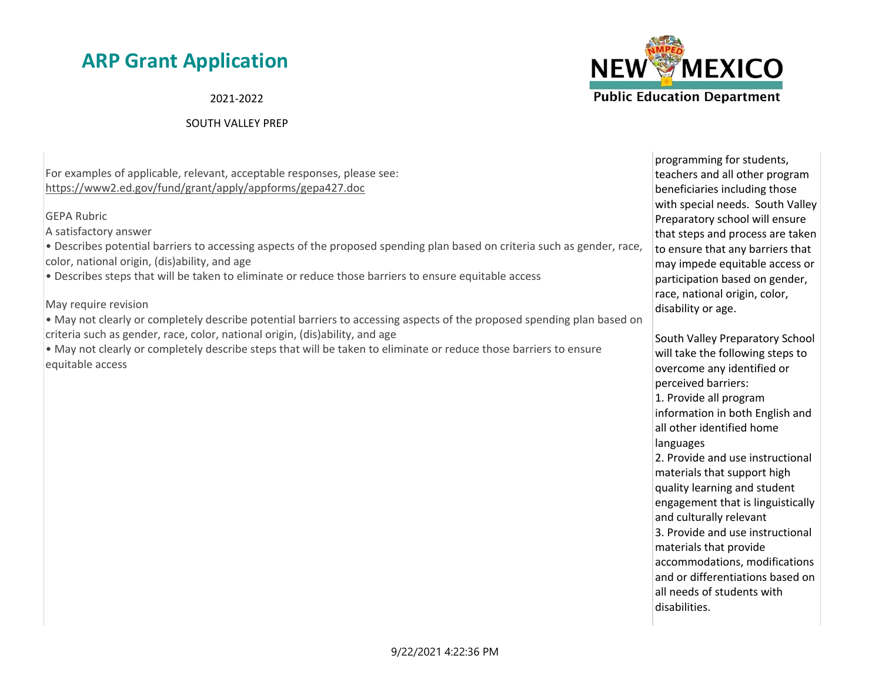2021-2022

#### SOUTH VALLEY PREP



For examples of applicable, relevant, acceptable responses, please see: https://www2.ed.gov/fund/grant/apply/appforms/gepa427.doc

GEPA Rubric

A satisfactory answer

• Describes potential barriers to accessing aspects of the proposed spending plan based on criteria such as gender, race, color, national origin, (dis)ability, and age

• Describes steps that will be taken to eliminate or reduce those barriers to ensure equitable access

May require revision

• May not clearly or completely describe potential barriers to accessing aspects of the proposed spending plan based on criteria such as gender, race, color, national origin, (dis)ability, and age

• May not clearly or completely describe steps that will be taken to eliminate or reduce those barriers to ensure equitable access

programming for students, teachers and all other program beneficiaries including those with special needs. South Valley Preparatory school will ensure that steps and process are taken to ensure that any barriers that may impede equitable access or participation based on gender, race, national origin, color, disability or age.

South Valley Preparatory School will take the following steps to overcome any identified or perceived barriers: 1. Provide all program information in both English and all other identified home languages 2. Provide and use instructional materials that support high quality learning and student engagement that is linguistically and culturally relevant 3. Provide and use instructional materials that provide accommodations, modifications and or differentiations based on all needs of students with disabilities.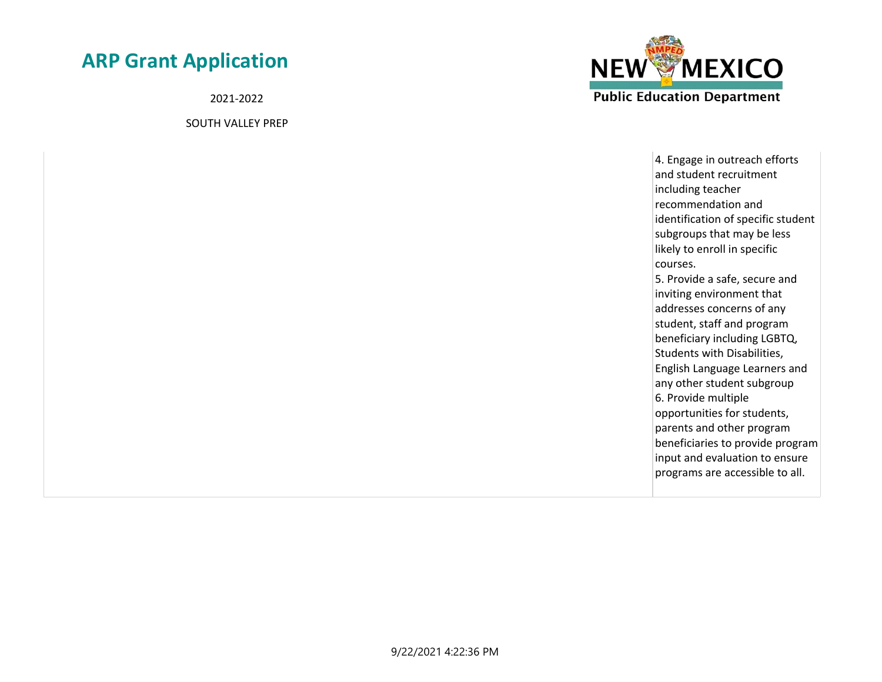2021-2022

SOUTH VALLEY PREP



4. Engage in outreach efforts and student recruitment including teacher recommendation and identification of specific student subgroups that may be less likely to enroll in specific courses. 5. Provide a safe, secure and inviting environment that addresses concerns of any student, staff and program beneficiary including LGBTQ, Students with Disabilities, English Language Learners and any other student subgroup 6. Provide multiple opportunities for students, parents and other program beneficiaries to provide program input and evaluation to ensure programs are accessible to all.